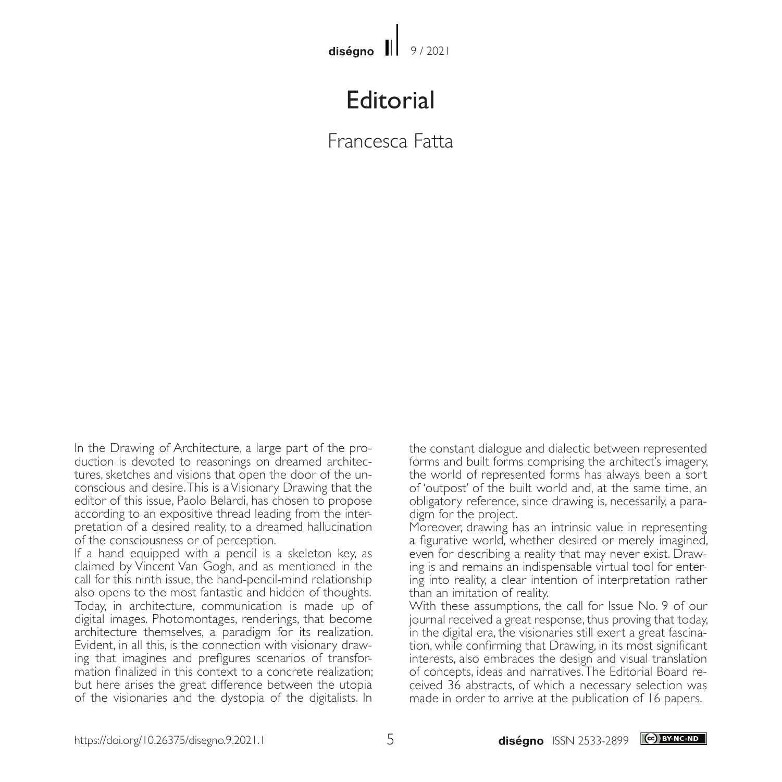## **Editorial**

## Francesca Fatta

In the Drawing of Architecture, a large part of the production is devoted to reasonings on dreamed architectures, sketches and visions that open the door of the unconscious and desire. This is a Visionary Drawing that the editor of this issue, Paolo Belardi, has chosen to propose according to an expositive thread leading from the interpretation of a desired reality, to a dreamed hallucination of the consciousness or of perception.

If a hand equipped with a pencil is a skeleton key, as claimed by Vincent Van Gogh, and as mentioned in the call for this ninth issue, the hand-pencil-mind relationship also opens to the most fantastic and hidden of thoughts. Today, in architecture, communication is made up of digital images. Photomontages, renderings, that become architecture themselves, a paradigm for its realization. Evident, in all this, is the connection with visionary drawing that imagines and prefigures scenarios of transformation finalized in this context to a concrete realization; but here arises the great difference between the utopia of the visionaries and the dystopia of the digitalists. In

the constant dialogue and dialectic between represented forms and built forms comprising the architect's imagery, the world of represented forms has always been a sort of 'outpost' of the built world and, at the same time, an obligatory reference, since drawing is, necessarily, a paradigm for the project.

Moreover, drawing has an intrinsic value in representing a figurative world, whether desired or merely imagined, even for describing a reality that may never exist. Draw-<br>ing is and remains an indispensable virtual tool for entering into reality, a clear intention of interpretation ratherthan an imitation of reality.

With these assumptions, the call for Issue No. 9 of our journal received a great response, thus proving that today, in the digital era, the visionaries still exert a great fascination, while confirming that Drawing, in its most significant interests, also embraces the design and visual translation of concepts, ideas and narratives. The Editorial Board received 36 abstracts, of which a necessary selection was made in order to arrive at the publication of 16 papers.